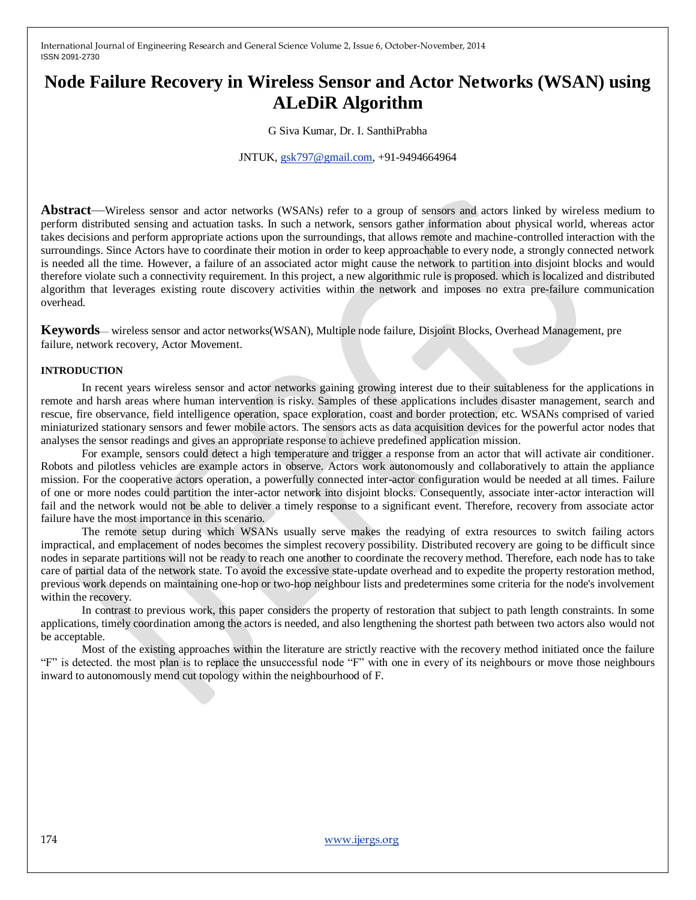# **Node Failure Recovery in Wireless Sensor and Actor Networks (WSAN) using ALeDiR Algorithm**

G Siva Kumar, Dr. I. SanthiPrabha

JNTUK, [gsk797@gmail.com,](mailto:gsk797@gmail.com) +91-9494664964

**Abstract**—Wireless sensor and actor networks (WSANs) refer to a group of sensors and actors linked by wireless medium to perform distributed sensing and actuation tasks. In such a network, sensors gather information about physical world, whereas actor takes decisions and perform appropriate actions upon the surroundings, that allows remote and machine-controlled interaction with the surroundings. Since Actors have to coordinate their motion in order to keep approachable to every node, a strongly connected network is needed all the time. However, a failure of an associated actor might cause the network to partition into disjoint blocks and would therefore violate such a connectivity requirement. In this project, a new algorithmic rule is proposed. which is localized and distributed algorithm that leverages existing route discovery activities within the network and imposes no extra pre-failure communication overhead.

**Keywords**— wireless sensor and actor networks(WSAN), Multiple node failure, Disjoint Blocks, Overhead Management, pre failure, network recovery, Actor Movement.

#### **INTRODUCTION**

In recent years wireless sensor and actor networks gaining growing interest due to their suitableness for the applications in remote and harsh areas where human intervention is risky. Samples of these applications includes disaster management, search and rescue, fire observance, field intelligence operation, space exploration, coast and border protection, etc. WSANs comprised of varied miniaturized stationary sensors and fewer mobile actors. The sensors acts as data acquisition devices for the powerful actor nodes that analyses the sensor readings and gives an appropriate response to achieve predefined application mission.

For example, sensors could detect a high temperature and trigger a response from an actor that will activate air conditioner. Robots and pilotless vehicles are example actors in observe. Actors work autonomously and collaboratively to attain the appliance mission. For the cooperative actors operation, a powerfully connected inter-actor configuration would be needed at all times. Failure of one or more nodes could partition the inter-actor network into disjoint blocks. Consequently, associate inter-actor interaction will fail and the network would not be able to deliver a timely response to a significant event. Therefore, recovery from associate actor failure have the most importance in this scenario.

The remote setup during which WSANs usually serve makes the readying of extra resources to switch failing actors impractical, and emplacement of nodes becomes the simplest recovery possibility. Distributed recovery are going to be difficult since nodes in separate partitions will not be ready to reach one another to coordinate the recovery method. Therefore, each node has to take care of partial data of the network state. To avoid the excessive state-update overhead and to expedite the property restoration method, previous work depends on maintaining one-hop or two-hop neighbour lists and predetermines some criteria for the node's involvement within the recovery.

In contrast to previous work, this paper considers the property of restoration that subject to path length constraints. In some applications, timely coordination among the actors is needed, and also lengthening the shortest path between two actors also would not be acceptable.

Most of the existing approaches within the literature are strictly reactive with the recovery method initiated once the failure "F" is detected. the most plan is to replace the unsuccessful node "F" with one in every of its neighbours or move those neighbours inward to autonomously mend cut topology within the neighbourhood of F.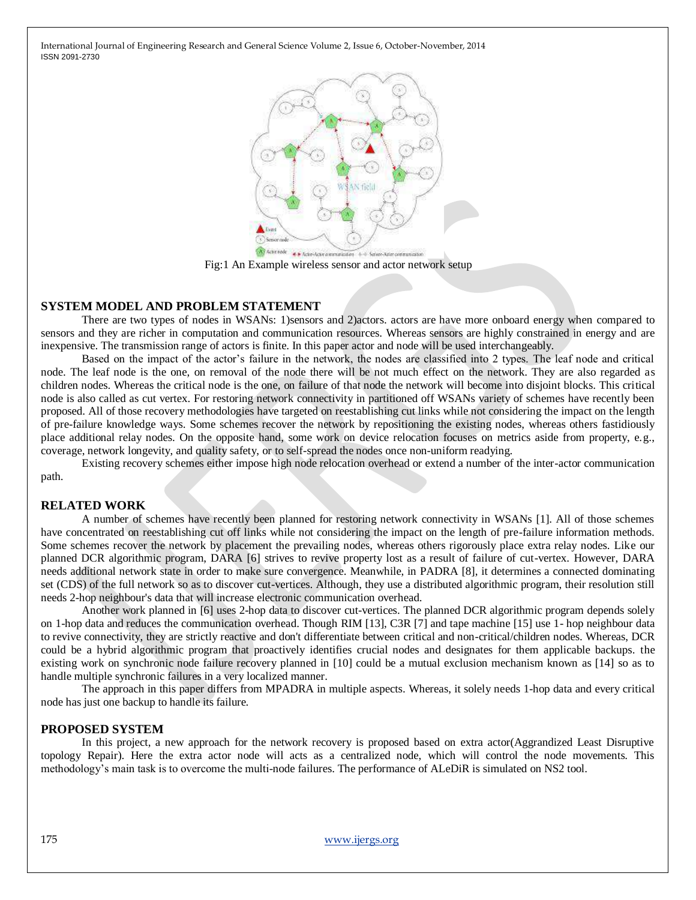

Fig:1 An Example wireless sensor and actor network setup

#### **SYSTEM MODEL AND PROBLEM STATEMENT**

There are two types of nodes in WSANs: 1)sensors and 2)actors. actors are have more onboard energy when compared to sensors and they are richer in computation and communication resources. Whereas sensors are highly constrained in energy and are inexpensive. The transmission range of actors is finite. In this paper actor and node will be used interchangeably.

Based on the impact of the actor's failure in the network, the nodes are classified into 2 types. The leaf node and critical node. The leaf node is the one, on removal of the node there will be not much effect on the network. They are also regarded as children nodes. Whereas the critical node is the one, on failure of that node the network will become into disjoint blocks. This critical node is also called as cut vertex. For restoring network connectivity in partitioned off WSANs variety of schemes have recently been proposed. All of those recovery methodologies have targeted on reestablishing cut links while not considering the impact on the length of pre-failure knowledge ways. Some schemes recover the network by repositioning the existing nodes, whereas others fastidiously place additional relay nodes. On the opposite hand, some work on device relocation focuses on metrics aside from property, e.g., coverage, network longevity, and quality safety, or to self-spread the nodes once non-uniform readying.

Existing recovery schemes either impose high node relocation overhead or extend a number of the inter-actor communication path.

## **RELATED WORK**

A number of schemes have recently been planned for restoring network connectivity in WSANs [1]. All of those schemes have concentrated on reestablishing cut off links while not considering the impact on the length of pre-failure information methods. Some schemes recover the network by placement the prevailing nodes, whereas others rigorously place extra relay nodes. Like our planned DCR algorithmic program, DARA [6] strives to revive property lost as a result of failure of cut-vertex. However, DARA needs additional network state in order to make sure convergence. Meanwhile, in PADRA [8], it determines a connected dominating set (CDS) of the full network so as to discover cut-vertices. Although, they use a distributed algorithmic program, their resolution still needs 2-hop neighbour's data that will increase electronic communication overhead.

Another work planned in [6] uses 2-hop data to discover cut-vertices. The planned DCR algorithmic program depends solely on 1-hop data and reduces the communication overhead. Though RIM [13], C3R [7] and tape machine [15] use 1- hop neighbour data to revive connectivity, they are strictly reactive and don't differentiate between critical and non-critical/children nodes. Whereas, DCR could be a hybrid algorithmic program that proactively identifies crucial nodes and designates for them applicable backups. the existing work on synchronic node failure recovery planned in [10] could be a mutual exclusion mechanism known as [14] so as to handle multiple synchronic failures in a very localized manner.

The approach in this paper differs from MPADRA in multiple aspects. Whereas, it solely needs 1-hop data and every critical node has just one backup to handle its failure.

#### **PROPOSED SYSTEM**

In this project, a new approach for the network recovery is proposed based on extra actor(Aggrandized Least Disruptive topology Repair). Here the extra actor node will acts as a centralized node, which will control the node movements. This methodology's main task is to overcome the multi-node failures. The performance of ALeDiR is simulated on NS2 tool.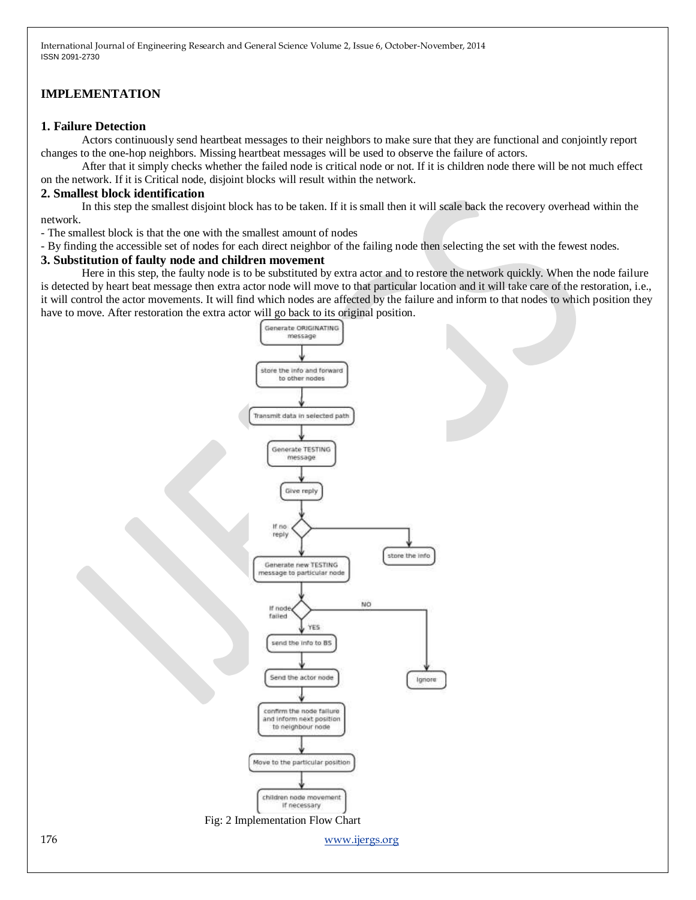# **IMPLEMENTATION**

# **1. Failure Detection**

Actors continuously send heartbeat messages to their neighbors to make sure that they are functional and conjointly report changes to the one-hop neighbors. Missing heartbeat messages will be used to observe the failure of actors.

After that it simply checks whether the failed node is critical node or not. If it is children node there will be not much effect on the network. If it is Critical node, disjoint blocks will result within the network.

# **2. Smallest block identification**

In this step the smallest disjoint block has to be taken. If it is small then it will scale back the recovery overhead within the network.

- The smallest block is that the one with the smallest amount of nodes

- By finding the accessible set of nodes for each direct neighbor of the failing node then selecting the set with the fewest nodes.

### **3. Substitution of faulty node and children movement**

Here in this step, the faulty node is to be substituted by extra actor and to restore the network quickly. When the node failure is detected by heart beat message then extra actor node will move to that particular location and it will take care of the restoration, i.e., it will control the actor movements. It will find which nodes are affected by the failure and inform to that nodes to which position they have to move. After restoration the extra actor will go back to its original position.

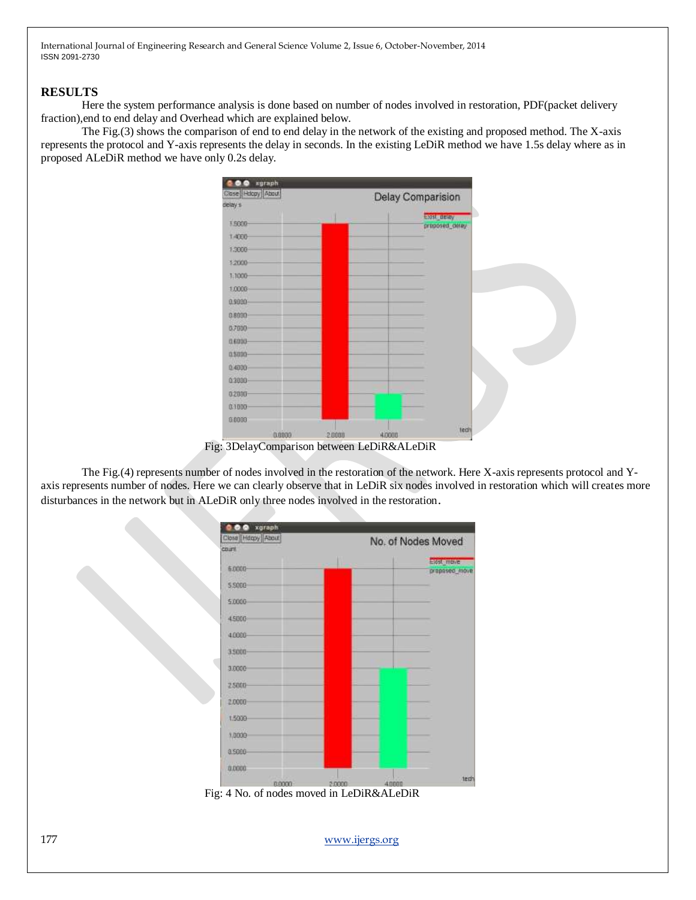## **RESULTS**

Here the system performance analysis is done based on number of nodes involved in restoration, PDF(packet delivery fraction),end to end delay and Overhead which are explained below.

The Fig.(3) shows the comparison of end to end delay in the network of the existing and proposed method. The X-axis represents the protocol and Y-axis represents the delay in seconds. In the existing LeDiR method we have 1.5s delay where as in proposed ALeDiR method we have only 0.2s delay.



Fig: 3DelayComparison between LeDiR&ALeDiR

The Fig.(4) represents number of nodes involved in the restoration of the network. Here X-axis represents protocol and Yaxis represents number of nodes. Here we can clearly observe that in LeDiR six nodes involved in restoration which will creates more disturbances in the network but in ALeDiR only three nodes involved in the restoration.



Fig: 4 No. of nodes moved in LeDiR&ALeDiR

177 [www.ijergs.org](http://www.ijergs.org/)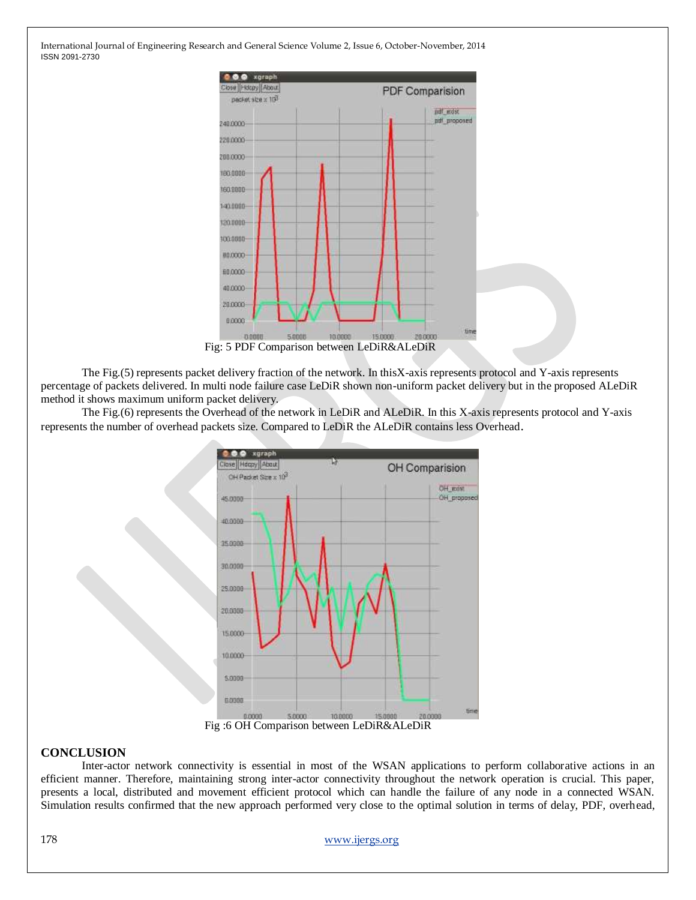

The Fig.(5) represents packet delivery fraction of the network. In thisX-axis represents protocol and Y-axis represents percentage of packets delivered. In multi node failure case LeDiR shown non-uniform packet delivery but in the proposed ALeDiR method it shows maximum uniform packet delivery.

The Fig.(6) represents the Overhead of the network in LeDiR and ALeDiR. In this X-axis represents protocol and Y-axis represents the number of overhead packets size. Compared to LeDiR the ALeDiR contains less Overhead.



#### **CONCLUSION**

Inter-actor network connectivity is essential in most of the WSAN applications to perform collaborative actions in an efficient manner. Therefore, maintaining strong inter-actor connectivity throughout the network operation is crucial. This paper, presents a local, distributed and movement efficient protocol which can handle the failure of any node in a connected WSAN. Simulation results confirmed that the new approach performed very close to the optimal solution in terms of delay, PDF, overhead,